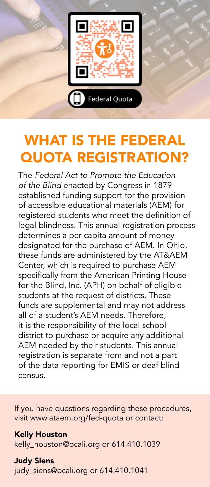

# WHAT IS THE FEDERAL QUOTA REGISTRATION?

The *Federal Act to Promote the Education of the Blind* enacted by Congress in 1879 established funding support for the provision of accessible educational materials (AEM) for registered students who meet the definition of legal blindness. This annual registration process determines a per capita amount of money designated for the purchase of AEM. In Ohio, these funds are administered by the AT&AEM Center, which is required to purchase AEM specifically from the American Printing House for the Blind, Inc. (APH) on behalf of eligible students at the request of districts. These funds are supplemental and may not address all of a student's AEM needs. Therefore, it is the responsibility of the local school district to purchase or acquire any additional AEM needed by their students. This annual registration is separate from and not a part of the data reporting for EMIS or deaf blind census.

If you have questions regarding these procedures, visit www.ataem.org/fed-quota or contact:

#### Kelly Houston

kelly\_houston@ocali.org or 614.410.1039

Judy Siens judy\_siens@ocali.org or 614.410.1041